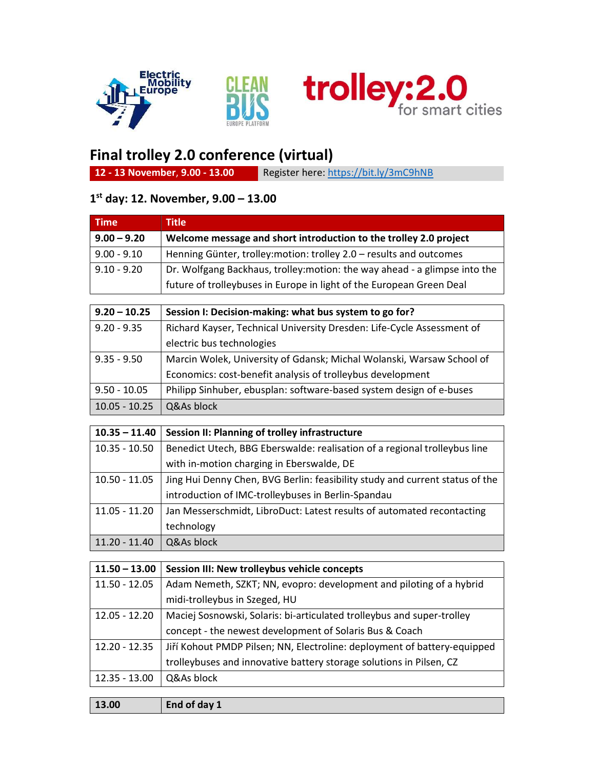

Ξ





## Final trolley 2.0 conference (virtual)

12 - 13 November, 9.00 - 13.00 Register here: https://bit.ly/3mC9hNB

## 1 st day: 12. November, 9.00 – 13.00

| <b>Title</b>                                                               |  |
|----------------------------------------------------------------------------|--|
| Welcome message and short introduction to the trolley 2.0 project          |  |
| Henning Günter, trolley: motion: trolley 2.0 – results and outcomes        |  |
| Dr. Wolfgang Backhaus, trolley: motion: the way ahead - a glimpse into the |  |
| future of trolleybuses in Europe in light of the European Green Deal       |  |
|                                                                            |  |
| Session I: Decision-making: what bus system to go for?                     |  |
| Richard Kayser, Technical University Dresden: Life-Cycle Assessment of     |  |
| electric bus technologies                                                  |  |
| Marcin Wolek, University of Gdansk; Michal Wolanski, Warsaw School of      |  |
| Economics: cost-benefit analysis of trolleybus development                 |  |
| Philipp Sinhuber, ebusplan: software-based system design of e-buses        |  |
| Q&As block                                                                 |  |
|                                                                            |  |
| Session II: Planning of trolley infrastructure                             |  |
| Benedict Utech, BBG Eberswalde: realisation of a regional trolleybus line  |  |
| with in-motion charging in Eberswalde, DE                                  |  |
|                                                                            |  |

10.50 - 11.05  $\parallel$  Jing Hui Denny Chen, BVG Berlin: feasibility study and current status of the introduction of IMC-trolleybuses in Berlin-Spandau 11.05 - 11.20 Jan Messerschmidt, LibroDuct: Latest results of automated recontacting technology 11.20 - 11.40  $\sqrt{Q}$  Q&As block

| $11.50 - 13.00$ | Session III: New trolleybus vehicle concepts                             |
|-----------------|--------------------------------------------------------------------------|
| $11.50 - 12.05$ | Adam Nemeth, SZKT; NN, evopro: development and piloting of a hybrid      |
|                 | midi-trolleybus in Szeged, HU                                            |
| $12.05 - 12.20$ | Maciej Sosnowski, Solaris: bi-articulated trolleybus and super-trolley   |
|                 | concept - the newest development of Solaris Bus & Coach                  |
| $12.20 - 12.35$ | Jiří Kohout PMDP Pilsen; NN, Electroline: deployment of battery-equipped |
|                 | trolleybuses and innovative battery storage solutions in Pilsen, CZ      |
| $12.35 - 13.00$ | Q&As block                                                               |
|                 |                                                                          |
| 13.00           | End of day 1                                                             |